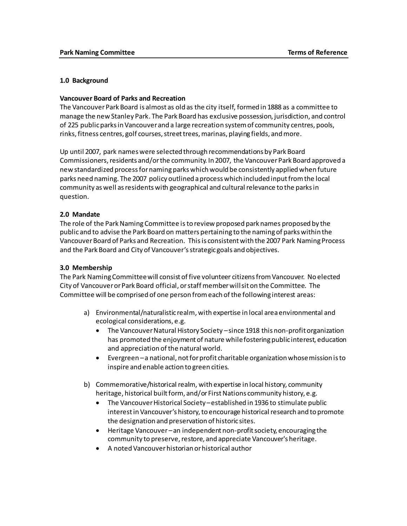#### **1.0 Background**

#### **Vancouver Board of Parks and Recreation**

The Vancouver Park Board is almost as old as the city itself, formed in 1888 as a committee to manage the new Stanley Park. The Park Board has exclusive possession, jurisdiction, and control of 225 public parks in Vancouver and a large recreation system of community centres, pools, rinks, fitness centres, golf courses, street trees, marinas, playing fields, and more.

Up until 2007, park names were selected through recommendations by Park Board Commissioners, residents and/or the community. In 2007, the Vancouver Park Board approved a new standardized process for naming parks which would be consistently applied when future parks need naming. The 2007 policy outlined a process which included input from the local community as well as residents with geographical and cultural relevance to the parks in question.

### **2.0 Mandate**

The role of the Park Naming Committee is to review proposed park names proposed by the public and to advise the Park Board on matters pertaining to the naming of parks within the Vancouver Board of Parks and Recreation. This is consistent with the 2007 Park Naming Process and the Park Board and City of Vancouver's strategic goals and objectives.

### **3.0 Membership**

The Park Naming Committee will consist of five volunteer citizens from Vancouver. No elected City of Vancouver or Park Board official, or staff member will sit on the Committee. The Committee will be comprised of one person from each of the following interest areas:

- a) Environmental/naturalistic realm, with expertise in local area environmental and ecological considerations, e.g.
	- The Vancouver Natural History Society since 1918 this non-profit organization has promoted the enjoyment of nature while fostering public interest, education and appreciation of the natural world.
	- Evergreen a national, not for profit charitable organization whose mission is to inspire and enable action to green cities.
- b) Commemorative/historical realm, with expertise in local history, community heritage, historical built form, and/or First Nations community history, e.g.
	- The Vancouver Historical Society established in 1936 to stimulate public interest in Vancouver's history, to encourage historical research and to promote the designation and preservation of historic sites.
	- Heritage Vancouver an independent non-profit society, encouraging the community to preserve, restore, and appreciate Vancouver's heritage.
	- A noted Vancouver historian or historical author